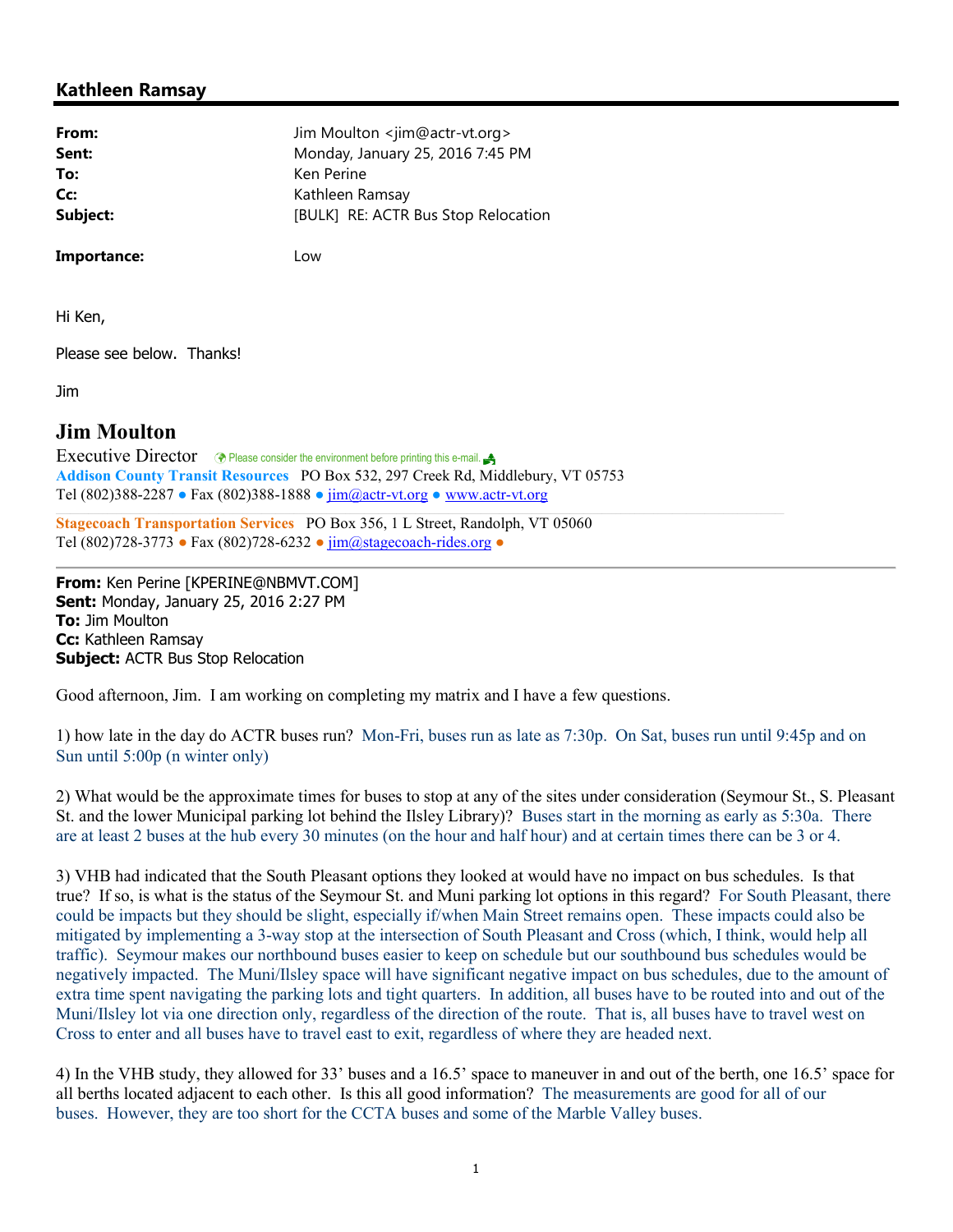## Kathleen Ramsay

| From:    | Jim Moulton <jim@actr-vt.org></jim@actr-vt.org> |
|----------|-------------------------------------------------|
| Sent:    | Monday, January 25, 2016 7:45 PM                |
| To:      | Ken Perine                                      |
| Cc:      | Kathleen Ramsay                                 |
| Subject: | [BULK] RE: ACTR Bus Stop Relocation             |
|          |                                                 |

Importance: Low

Hi Ken,

Please see below. Thanks!

Jim

## Jim Moulton

Executive Director  $\circledast$  Please consider the environment before printing this e-mail. Addison County Transit Resources PO Box 532, 297 Creek Rd, Middlebury, VT 05753 Tel (802)388-2287 ● Fax (802)388-1888 ● jim@actr-vt.org ● www.actr-vt.org

Stagecoach Transportation Services PO Box 356, 1 L Street, Randolph, VT 05060 Tel (802)728-3773 ● Fax (802)728-6232 ● jim@stagecoach-rides.org ●

From: Ken Perine [KPERINE@NBMVT.COM] Sent: Monday, January 25, 2016 2:27 PM To: Jim Moulton Cc: Kathleen Ramsay **Subject: ACTR Bus Stop Relocation** 

Good afternoon, Jim. I am working on completing my matrix and I have a few questions.

1) how late in the day do ACTR buses run? Mon-Fri, buses run as late as 7:30p. On Sat, buses run until 9:45p and on Sun until 5:00p (n winter only)

2) What would be the approximate times for buses to stop at any of the sites under consideration (Seymour St., S. Pleasant St. and the lower Municipal parking lot behind the Ilsley Library)? Buses start in the morning as early as 5:30a. There are at least 2 buses at the hub every 30 minutes (on the hour and half hour) and at certain times there can be 3 or 4.

3) VHB had indicated that the South Pleasant options they looked at would have no impact on bus schedules. Is that true? If so, is what is the status of the Seymour St. and Muni parking lot options in this regard? For South Pleasant, there could be impacts but they should be slight, especially if/when Main Street remains open. These impacts could also be mitigated by implementing a 3-way stop at the intersection of South Pleasant and Cross (which, I think, would help all traffic). Seymour makes our northbound buses easier to keep on schedule but our southbound bus schedules would be negatively impacted. The Muni/Ilsley space will have significant negative impact on bus schedules, due to the amount of extra time spent navigating the parking lots and tight quarters. In addition, all buses have to be routed into and out of the Muni/Ilsley lot via one direction only, regardless of the direction of the route. That is, all buses have to travel west on Cross to enter and all buses have to travel east to exit, regardless of where they are headed next.

4) In the VHB study, they allowed for 33' buses and a 16.5' space to maneuver in and out of the berth, one 16.5' space for all berths located adjacent to each other. Is this all good information? The measurements are good for all of our buses. However, they are too short for the CCTA buses and some of the Marble Valley buses.